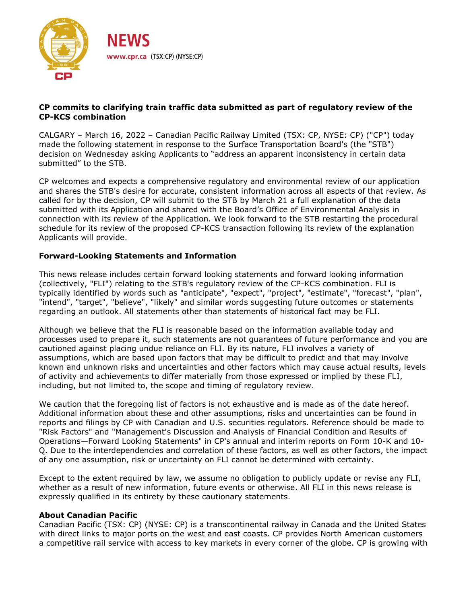

## **CP commits to clarifying train traffic data submitted as part of regulatory review of the CP-KCS combination**

CALGARY – March 16, 2022 – Canadian Pacific Railway Limited (TSX: CP, NYSE: CP) ("CP") today made the following statement in response to the Surface Transportation Board's (the "STB") decision on Wednesday asking Applicants to "address an apparent inconsistency in certain data submitted" to the STB.

CP welcomes and expects a comprehensive regulatory and environmental review of our application and shares the STB's desire for accurate, consistent information across all aspects of that review. As called for by the decision, CP will submit to the STB by March 21 a full explanation of the data submitted with its Application and shared with the Board's Office of Environmental Analysis in connection with its review of the Application. We look forward to the STB restarting the procedural schedule for its review of the proposed CP-KCS transaction following its review of the explanation Applicants will provide.

## **Forward-Looking Statements and Information**

This news release includes certain forward looking statements and forward looking information (collectively, "FLI") relating to the STB's regulatory review of the CP-KCS combination. FLI is typically identified by words such as "anticipate", "expect", "project", "estimate", "forecast", "plan", "intend", "target", "believe", "likely" and similar words suggesting future outcomes or statements regarding an outlook. All statements other than statements of historical fact may be FLI.

Although we believe that the FLI is reasonable based on the information available today and processes used to prepare it, such statements are not guarantees of future performance and you are cautioned against placing undue reliance on FLI. By its nature, FLI involves a variety of assumptions, which are based upon factors that may be difficult to predict and that may involve known and unknown risks and uncertainties and other factors which may cause actual results, levels of activity and achievements to differ materially from those expressed or implied by these FLI, including, but not limited to, the scope and timing of regulatory review.

We caution that the foregoing list of factors is not exhaustive and is made as of the date hereof. Additional information about these and other assumptions, risks and uncertainties can be found in reports and filings by CP with Canadian and U.S. securities regulators. Reference should be made to "Risk Factors" and "Management's Discussion and Analysis of Financial Condition and Results of Operations—Forward Looking Statements" in CP's annual and interim reports on Form 10-K and 10- Q. Due to the interdependencies and correlation of these factors, as well as other factors, the impact of any one assumption, risk or uncertainty on FLI cannot be determined with certainty.

Except to the extent required by law, we assume no obligation to publicly update or revise any FLI, whether as a result of new information, future events or otherwise. All FLI in this news release is expressly qualified in its entirety by these cautionary statements.

## **About Canadian Pacific**

Canadian Pacific (TSX: CP) (NYSE: CP) is a transcontinental railway in Canada and the United States with direct links to major ports on the west and east coasts. CP provides North American customers a competitive rail service with access to key markets in every corner of the globe. CP is growing with